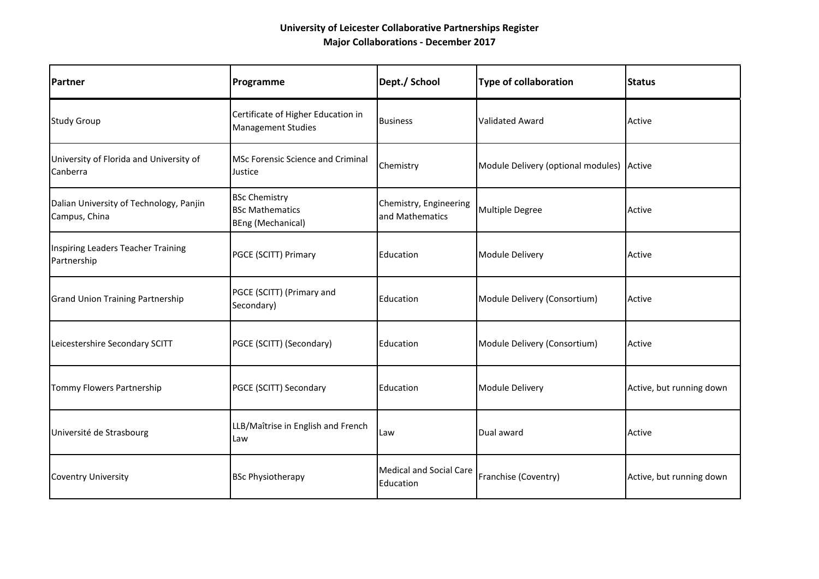## **University of Leicester Collaborative Partnerships Register Major Collaborations - December 2017**

| Partner                                                  | Programme                                                                  | Dept./ School                               | <b>Type of collaboration</b>       | <b>Status</b>            |
|----------------------------------------------------------|----------------------------------------------------------------------------|---------------------------------------------|------------------------------------|--------------------------|
| <b>Study Group</b>                                       | Certificate of Higher Education in<br><b>Management Studies</b>            | <b>Business</b>                             | <b>Validated Award</b>             | Active                   |
| University of Florida and University of<br>Canberra      | <b>MSc Forensic Science and Criminal</b><br>Justice                        | Chemistry                                   | Module Delivery (optional modules) | Active                   |
| Dalian University of Technology, Panjin<br>Campus, China | <b>BSc Chemistry</b><br><b>BSc Mathematics</b><br><b>BEng (Mechanical)</b> | Chemistry, Engineering<br>and Mathematics   | <b>Multiple Degree</b>             | Active                   |
| Inspiring Leaders Teacher Training<br>Partnership        | PGCE (SCITT) Primary                                                       | Education                                   | Module Delivery                    | Active                   |
| <b>Grand Union Training Partnership</b>                  | PGCE (SCITT) (Primary and<br>Secondary)                                    | Education                                   | Module Delivery (Consortium)       | Active                   |
| Leicestershire Secondary SCITT                           | PGCE (SCITT) (Secondary)                                                   | Education                                   | Module Delivery (Consortium)       | Active                   |
| Tommy Flowers Partnership                                | PGCE (SCITT) Secondary                                                     | Education                                   | Module Delivery                    | Active, but running down |
| Université de Strasbourg                                 | LLB/Maîtrise in English and French<br>Law                                  | Law                                         | Dual award                         | Active                   |
| <b>Coventry University</b>                               | <b>BSc Physiotherapy</b>                                                   | <b>Medical and Social Care</b><br>Education | Franchise (Coventry)               | Active, but running down |